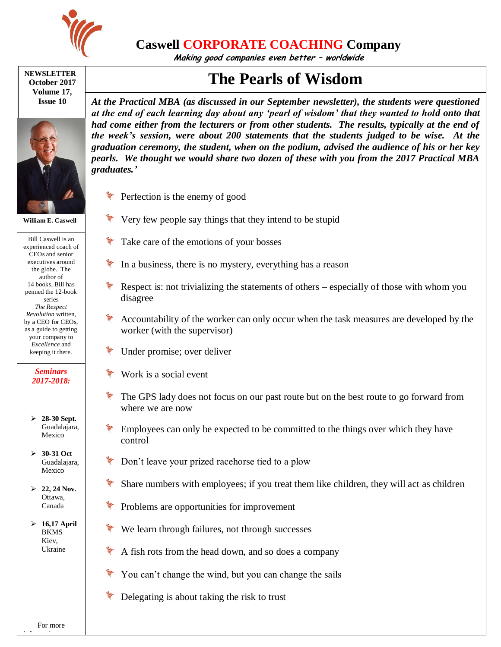

**Caswell CORPORATE COACHING Company**

**Making good companies even better – worldwide**

## **NEWSLETTER October 2017 Volume 17, Issue 10**



**William E. Caswell**

Bill Caswell is an experienced coach of CEOs and senior executives around the globe. The author of 14 books, Bill has penned the 12-book series *The Respect Revolution* written, by a CEO for CEOs, as a guide to getting your company to *Excellence* and keeping it there.

## *Seminars 2017-2018:*

- **28-30 Sept.**  Guadalajara, Mexico
- **30-31 Oct**  Guadalajara, Mexico
- **22, 24 Nov.** Ottawa, Canada
- **16,17 April**  BKMS Kiev, Ukraine

*At the Practical MBA (as discussed in our September newsletter), the students were questioned at the end of each learning day about any 'pearl of wisdom' that they wanted to hold onto that had come either from the lecturers or from other students. The results, typically at the end of the week's session, were about 200 statements that the students judged to be wise. At the graduation ceremony, the student, when on the podium, advised the audience of his or her key pearls. We thought we would share two dozen of these with you from the 2017 Practical MBA graduates.'*

**The Pearls of Wisdom**

- **Perfection is the enemy of good**
- $\mathbb {V}$  Very few people say things that they intend to be stupid
- $\mathscr{C}$  Take care of the emotions of your bosses
- In a business, there is no mystery, everything has a reason
- $\mathscr{L}$  Respect is: not trivializing the statements of others especially of those with whom you disagree
- Accountability of the worker can only occur when the task measures are developed by the worker (with the supervisor)
- Under promise; over deliver
- Work is a social event
- The GPS lady does not focus on our past route but on the best route to go forward from where we are now
- Employees can only be expected to be committed to the things over which they have control
- Don't leave your prized racehorse tied to a plow
- Share numbers with employees; if you treat them like children, they will act as children
- Problems are opportunities for improvement
- We learn through failures, not through successes
- $\mathscr$  A fish rots from the head down, and so does a company
- You can't change the wind, but you can change the sails
- $\mathscr W$  Delegating is about taking the risk to trust